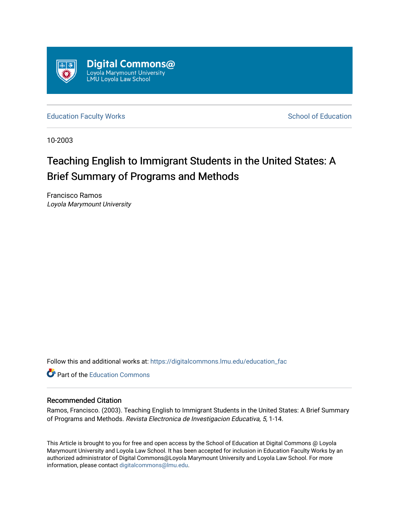

[Education Faculty Works](https://digitalcommons.lmu.edu/education_fac) **Education** School of Education

10-2003

# Teaching English to Immigrant Students in the United States: A Brief Summary of Programs and Methods

Francisco Ramos Loyola Marymount University

Follow this and additional works at: [https://digitalcommons.lmu.edu/education\\_fac](https://digitalcommons.lmu.edu/education_fac?utm_source=digitalcommons.lmu.edu%2Feducation_fac%2F1&utm_medium=PDF&utm_campaign=PDFCoverPages) 

**Part of the [Education Commons](http://network.bepress.com/hgg/discipline/784?utm_source=digitalcommons.lmu.edu%2Feducation_fac%2F1&utm_medium=PDF&utm_campaign=PDFCoverPages)** 

#### Recommended Citation

Ramos, Francisco. (2003). Teaching English to Immigrant Students in the United States: A Brief Summary of Programs and Methods. Revista Electronica de Investigacion Educativa, 5, 1-14.

This Article is brought to you for free and open access by the School of Education at Digital Commons @ Loyola Marymount University and Loyola Law School. It has been accepted for inclusion in Education Faculty Works by an authorized administrator of Digital Commons@Loyola Marymount University and Loyola Law School. For more information, please contact [digitalcommons@lmu.edu.](mailto:digitalcommons@lmu.edu)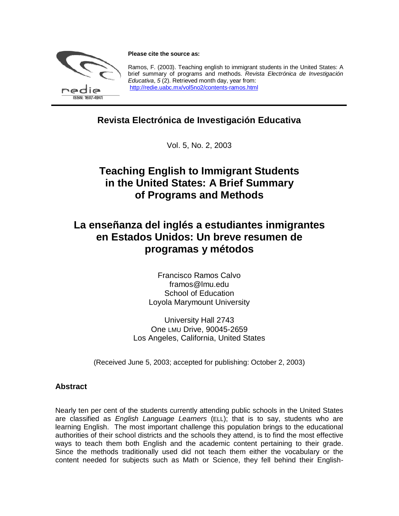

**Please cite the source as:**

Ramos, F. (2003). Teaching english to immigrant students in the United States: A brief summary of programs and methods. *Revista Electrónica de Investigación Educativa*, *5* (2). Retrieved month day, year from: http://redie.uabc.mx/vol5no2/contents-ramos.html

### **Revista Electrónica de Investigación Educativa**

Vol. 5, No. 2, 2003

### **Teaching English to Immigrant Students in the United States: A Brief Summary of Programs and Methods**

## **La enseñanza del inglés a estudiantes inmigrantes en Estados Unidos: Un breve resumen de programas y métodos**

Francisco Ramos Calvo framos@lmu.edu School of Education Loyola Marymount University

University Hall 2743 One LMU Drive, 90045-2659 Los Angeles, California, United States

(Received June 5, 2003; accepted for publishing: October 2, 2003)

#### **Abstract**

Nearly ten per cent of the students currently attending public schools in the United States are classified as *English Language Learners* (ELL); that is to say, students who are learning English. The most important challenge this population brings to the educational authorities of their school districts and the schools they attend, is to find the most effective ways to teach them both English and the academic content pertaining to their grade. Since the methods traditionally used did not teach them either the vocabulary or the content needed for subjects such as Math or Science, they fell behind their English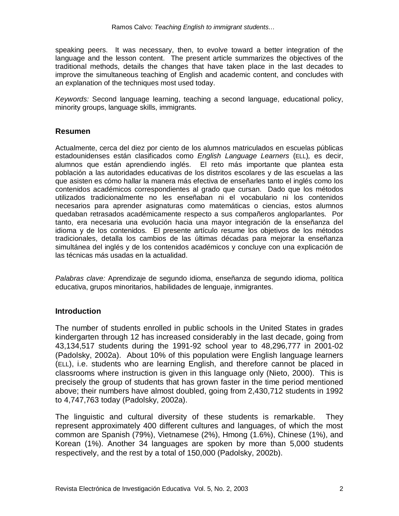speaking peers. It was necessary, then, to evolve toward a better integration of the language and the lesson content. The present article summarizes the objectives of the traditional methods, details the changes that have taken place in the last decades to improve the simultaneous teaching of English and academic content, and concludes with an explanation of the techniques most used today.

*Keywords:* Second language learning, teaching a second language, educational policy, minority groups, language skills, immigrants.

#### **Resumen**

Actualmente, cerca del diez por ciento de los alumnos matriculados en escuelas públicas estadounidenses están clasificados como *English Language Learners* (ELL)*,* es decir, alumnos que están aprendiendo inglés. El reto más importante que plantea esta población a las autoridades educativas de los distritos escolares y de las escuelas a las que asisten es cómo hallar la manera más efectiva de enseñarles tanto el inglés como los contenidos académicos correspondientes al grado que cursan. Dado que los métodos utilizados tradicionalmente no les enseñaban ni el vocabulario ni los contenidos necesarios para aprender asignaturas como matemáticas o ciencias, estos alumnos quedaban retrasados académicamente respecto a sus compañeros angloparlantes. Por tanto, era necesaria una evolución hacia una mayor integración de la enseñanza del idioma y de los contenidos. El presente artículo resume los objetivos de los métodos tradicionales, detalla los cambios de las últimas décadas para mejorar la enseñanza simultánea del inglés y de los contenidos académicos y concluye con una explicación de las técnicas más usadas en la actualidad.

*Palabras clave:* Aprendizaje de segundo idioma, enseñanza de segundo idioma, política educativa, grupos minoritarios, habilidades de lenguaje, inmigrantes.

#### **Introduction**

The number of students enrolled in public schools in the United States in grades kindergarten through 12 has increased considerably in the last decade, going from 43,134,517 students during the 1991-92 school year to 48,296,777 in 2001-02 (Padolsky, 2002a). About 10% of this population were English language learners (ELL), i.e. students who are learning English, and therefore cannot be placed in classrooms where instruction is given in this language only (Nieto, 2000). This is precisely the group of students that has grown faster in the time period mentioned above; their numbers have almost doubled, going from 2,430,712 students in 1992 to 4,747,763 today (Padolsky, 2002a).

The linguistic and cultural diversity of these students is remarkable. They represent approximately 400 different cultures and languages, of which the most common are Spanish (79%), Vietnamese (2%), Hmong (1.6%), Chinese (1%), and Korean (1%). Another 34 languages are spoken by more than 5,000 students respectively, and the rest by a total of 150,000 (Padolsky, 2002b).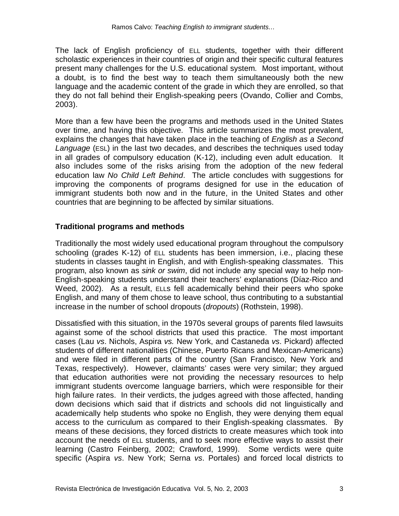The lack of English proficiency of ELL students, together with their different scholastic experiences in their countries of origin and their specific cultural features present many challenges for the U.S. educational system. Most important, without a doubt, is to find the best way to teach them simultaneously both the new language and the academic content of the grade in which they are enrolled, so that they do not fall behind their English-speaking peers (Ovando, Collier and Combs, 2003).

More than a few have been the programs and methods used in the United States over time, and having this objective. This article summarizes the most prevalent, explains the changes that have taken place in the teaching of *English as a Second Language* (ESL) in the last two decades, and describes the techniques used today in all grades of compulsory education (K-12), including even adult education. It also includes some of the risks arising from the adoption of the new federal education law *No Child Left Behind*. The article concludes with suggestions for improving the components of programs designed for use in the education of immigrant students both now and in the future, in the United States and other countries that are beginning to be affected by similar situations.

#### **Traditional programs and methods**

Traditionally the most widely used educational program throughout the compulsory schooling (grades K-12) of ELL students has been immersion, i.e., placing these students in classes taught in English, and with English-speaking classmates. This program, also known as *sink or swim*, did not include any special way to help non-English-speaking students understand their teachers' explanations (Díaz-Rico and Weed, 2002). As a result, ELLs fell academically behind their peers who spoke English, and many of them chose to leave school, thus contributing to a substantial increase in the number of school dropouts (*dropouts*) (Rothstein, 1998).

Dissatisfied with this situation, in the 1970s several groups of parents filed lawsuits against some of the school districts that used this practice. The most important cases (Lau *vs*. Nichols, Aspira *vs.* New York, and Castaneda *vs*. Pickard) affected students of different nationalities (Chinese, Puerto Ricans and Mexican-Americans) and were filed in different parts of the country (San Francisco, New York and Texas, respectively). However, claimants' cases were very similar; they argued that education authorities were not providing the necessary resources to help immigrant students overcome language barriers, which were responsible for their high failure rates. In their verdicts, the judges agreed with those affected, handing down decisions which said that if districts and schools did not linguistically and academically help students who spoke no English, they were denying them equal access to the curriculum as compared to their English-speaking classmates. By means of these decisions, they forced districts to create measures which took into account the needs of ELL students, and to seek more effective ways to assist their learning (Castro Feinberg, 2002; Crawford, 1999). Some verdicts were quite specific (Aspira *vs*. New York; Serna *vs*. Portales) and forced local districts to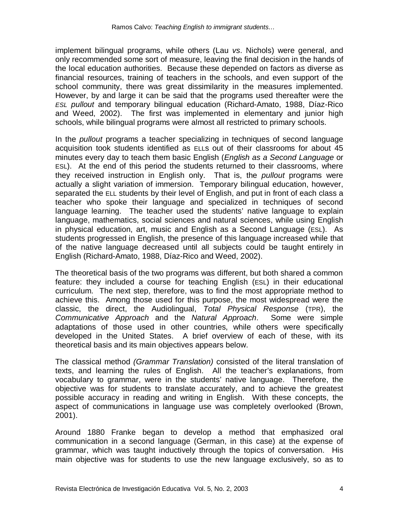implement bilingual programs, while others (Lau *vs*. Nichols) were general, and only recommended some sort of measure, leaving the final decision in the hands of the local education authorities. Because these depended on factors as diverse as financial resources, training of teachers in the schools, and even support of the school community, there was great dissimilarity in the measures implemented. However, by and large it can be said that the programs used thereafter were the *ESL pullout* and temporary bilingual education (Richard-Amato, 1988, Díaz-Rico and Weed, 2002). The first was implemented in elementary and junior high schools, while bilingual programs were almost all restricted to primary schools.

In the *pullout* programs a teacher specializing in techniques of second language acquisition took students identified as ELLs out of their classrooms for about 45 minutes every day to teach them basic English (*English as a Second Language* or ESL). At the end of this period the students returned to their classrooms, where they received instruction in English only. That is, the *pullout* programs were actually a slight variation of immersion. Temporary bilingual education, however, separated the ELL students by their level of English, and put in front of each class a teacher who spoke their language and specialized in techniques of second language learning. The teacher used the students' native language to explain language, mathematics, social sciences and natural sciences, while using English in physical education, art, music and English as a Second Language (ESL). As students progressed in English, the presence of this language increased while that of the native language decreased until all subjects could be taught entirely in English (Richard-Amato, 1988, Díaz-Rico and Weed, 2002).

The theoretical basis of the two programs was different, but both shared a common feature: they included a course for teaching English (ESL) in their educational curriculum. The next step, therefore, was to find the most appropriate method to achieve this. Among those used for this purpose, the most widespread were the classic, the direct, the Audiolingual, *Total Physical Response* (TPR), the *Communicative Approach* and the *Natural Approach*. Some were simple adaptations of those used in other countries, while others were specifically developed in the United States. A brief overview of each of these, with its theoretical basis and its main objectives appears below.

The classical method *(Grammar Translation)* consisted of the literal translation of texts, and learning the rules of English. All the teacher's explanations, from vocabulary to grammar, were in the students' native language. Therefore, the objective was for students to translate accurately, and to achieve the greatest possible accuracy in reading and writing in English. With these concepts, the aspect of communications in language use was completely overlooked (Brown, 2001).

Around 1880 Franke began to develop a method that emphasized oral communication in a second language (German, in this case) at the expense of grammar, which was taught inductively through the topics of conversation. His main objective was for students to use the new language exclusively, so as to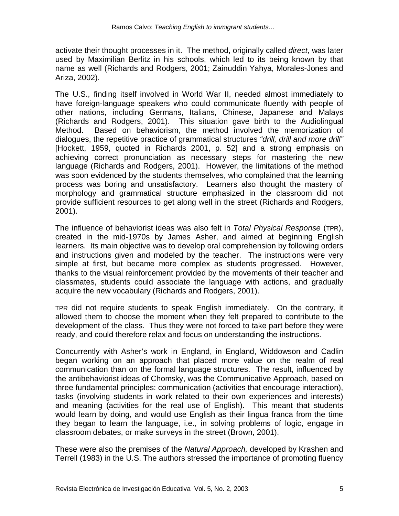activate their thought processes in it. The method, originally called *direct*, was later used by Maximilian Berlitz in his schools, which led to its being known by that name as well (Richards and Rodgers, 2001; Zainuddin Yahya, Morales-Jones and Ariza, 2002).

The U.S., finding itself involved in World War II, needed almost immediately to have foreign-language speakers who could communicate fluently with people of other nations, including Germans, Italians, Chinese, Japanese and Malays (Richards and Rodgers, 2001). This situation gave birth to the Audiolingual Method. Based on behaviorism, the method involved the memorization of dialogues, the repetitive practice of grammatical structures *"drill, drill and more drill"* [Hockett, 1959, quoted in Richards 2001, p. 52] and a strong emphasis on achieving correct pronunciation as necessary steps for mastering the new language (Richards and Rodgers, 2001). However, the limitations of the method was soon evidenced by the students themselves, who complained that the learning process was boring and unsatisfactory. Learners also thought the mastery of morphology and grammatical structure emphasized in the classroom did not provide sufficient resources to get along well in the street (Richards and Rodgers, 2001).

The influence of behaviorist ideas was also felt in *Total Physical Response* (TPR), created in the mid-1970s by James Asher, and aimed at beginning English learners. Its main objective was to develop oral comprehension by following orders and instructions given and modeled by the teacher. The instructions were very simple at first, but became more complex as students progressed. However, thanks to the visual reinforcement provided by the movements of their teacher and classmates, students could associate the language with actions, and gradually acquire the new vocabulary (Richards and Rodgers, 2001).

TPR did not require students to speak English immediately. On the contrary, it allowed them to choose the moment when they felt prepared to contribute to the development of the class. Thus they were not forced to take part before they were ready, and could therefore relax and focus on understanding the instructions.

Concurrently with Asher's work in England, in England, Widdowson and Cadlin began working on an approach that placed more value on the realm of real communication than on the formal language structures. The result, influenced by the antibehaviorist ideas of Chomsky, was the Communicative Approach, based on three fundamental principles: communication (activities that encourage interaction), tasks (involving students in work related to their own experiences and interests) and meaning (activities for the real use of English). This meant that students would learn by doing, and would use English as their lingua franca from the time they began to learn the language, i.e., in solving problems of logic, engage in classroom debates, or make surveys in the street (Brown, 2001).

These were also the premises of the *Natural Approach,* developed by Krashen and Terrell (1983) in the U.S. The authors stressed the importance of promoting fluency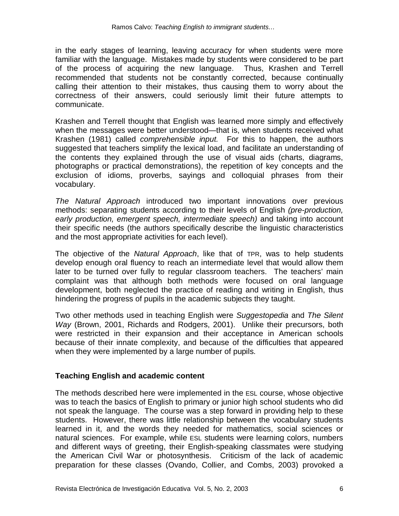in the early stages of learning, leaving accuracy for when students were more familiar with the language. Mistakes made by students were considered to be part of the process of acquiring the new language. Thus, Krashen and Terrell recommended that students not be constantly corrected, because continually calling their attention to their mistakes, thus causing them to worry about the correctness of their answers, could seriously limit their future attempts to communicate.

Krashen and Terrell thought that English was learned more simply and effectively when the messages were better understood—that is, when students received what Krashen (1981) called *comprehensible input.* For this to happen, the authors suggested that teachers simplify the lexical load, and facilitate an understanding of the contents they explained through the use of visual aids (charts, diagrams, photographs or practical demonstrations), the repetition of key concepts and the exclusion of idioms, proverbs, sayings and colloquial phrases from their vocabulary.

*The Natural Approach* introduced two important innovations over previous methods: separating students according to their levels of English *(pre-production, early production, emergent speech, intermediate speech)* and taking into account their specific needs (the authors specifically describe the linguistic characteristics and the most appropriate activities for each level).

The objective of the *Natural Approach*, like that of TPR, was to help students develop enough oral fluency to reach an intermediate level that would allow them later to be turned over fully to regular classroom teachers. The teachers' main complaint was that although both methods were focused on oral language development, both neglected the practice of reading and writing in English, thus hindering the progress of pupils in the academic subjects they taught.

Two other methods used in teaching English were *Suggestopedia* and *The Silent Way* (Brown, 2001, Richards and Rodgers, 2001). Unlike their precursors, both were restricted in their expansion and their acceptance in American schools because of their innate complexity, and because of the difficulties that appeared when they were implemented by a large number of pupils.

#### **Teaching English and academic content**

The methods described here were implemented in the ESL course, whose objective was to teach the basics of English to primary or junior high school students who did not speak the language. The course was a step forward in providing help to these students. However, there was little relationship between the vocabulary students learned in it, and the words they needed for mathematics, social sciences or natural sciences. For example, while ESL students were learning colors, numbers and different ways of greeting, their English-speaking classmates were studying the American Civil War or photosynthesis. Criticism of the lack of academic preparation for these classes (Ovando, Collier, and Combs, 2003) provoked a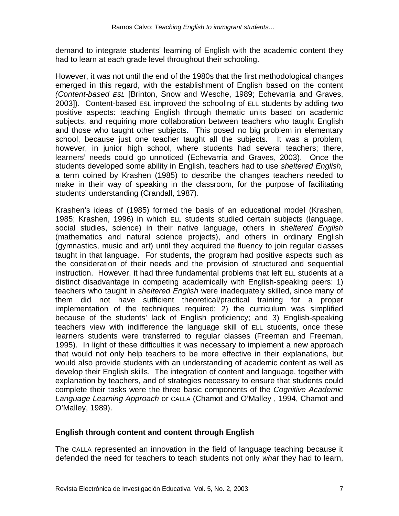demand to integrate students' learning of English with the academic content they had to learn at each grade level throughout their schooling.

However, it was not until the end of the 1980s that the first methodological changes emerged in this regard, with the establishment of English based on the content *(Content-based ESL* [Brinton, Snow and Wesche, 1989; Echevarria and Graves, 2003]). Content-based ESL improved the schooling of ELL students by adding two positive aspects: teaching English through thematic units based on academic subjects, and requiring more collaboration between teachers who taught English and those who taught other subjects. This posed no big problem in elementary school, because just one teacher taught all the subjects. It was a problem, however, in junior high school, where students had several teachers; there, learners' needs could go unnoticed (Echevarria and Graves, 2003). Once the students developed some ability in English, teachers had to use *sheltered English,* a term coined by Krashen (1985) to describe the changes teachers needed to make in their way of speaking in the classroom, for the purpose of facilitating students' understanding (Crandall, 1987).

Krashen's ideas of (1985) formed the basis of an educational model (Krashen, 1985; Krashen, 1996) in which ELL students studied certain subjects (language, social studies, science) in their native language, others in *sheltered English*  (mathematics and natural science projects), and others in ordinary English (gymnastics, music and art) until they acquired the fluency to join regular classes taught in that language. For students, the program had positive aspects such as the consideration of their needs and the provision of structured and sequential instruction. However, it had three fundamental problems that left ELL students at a distinct disadvantage in competing academically with English-speaking peers: 1) teachers who taught in *sheltered English* were inadequately skilled, since many of them did not have sufficient theoretical/practical training for a proper implementation of the techniques required; 2) the curriculum was simplified because of the students' lack of English proficiency; and 3) English-speaking teachers view with indifference the language skill of ELL students, once these learners students were transferred to regular classes (Freeman and Freeman, 1995). In light of these difficulties it was necessary to implement a new approach that would not only help teachers to be more effective in their explanations, but would also provide students with an understanding of academic content as well as develop their English skills. The integration of content and language, together with explanation by teachers, and of strategies necessary to ensure that students could complete their tasks were the three basic components of the *Cognitive Academic Language Learning Approach* or CALLA (Chamot and O'Malley , 1994, Chamot and O'Malley, 1989).

#### **English through content and content through English**

The CALLA represented an innovation in the field of language teaching because it defended the need for teachers to teach students not only *what* they had to learn,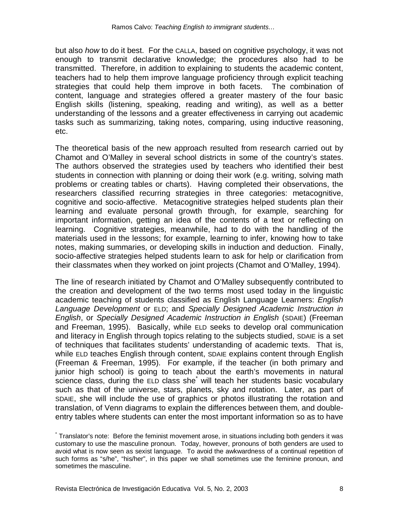but also *how* to do it best. For the CALLA, based on cognitive psychology, it was not enough to transmit declarative knowledge; the procedures also had to be transmitted. Therefore, in addition to explaining to students the academic content, teachers had to help them improve language proficiency through explicit teaching strategies that could help them improve in both facets. The combination of content, language and strategies offered a greater mastery of the four basic English skills (listening, speaking, reading and writing), as well as a better understanding of the lessons and a greater effectiveness in carrying out academic tasks such as summarizing, taking notes, comparing, using inductive reasoning, etc.

The theoretical basis of the new approach resulted from research carried out by Chamot and O'Malley in several school districts in some of the country's states. The authors observed the strategies used by teachers who identified their best students in connection with planning or doing their work (e.g. writing, solving math problems or creating tables or charts). Having completed their observations, the researchers classified recurring strategies in three categories: metacognitive, cognitive and socio-affective. Metacognitive strategies helped students plan their learning and evaluate personal growth through, for example, searching for important information, getting an idea of the contents of a text or reflecting on learning. Cognitive strategies, meanwhile, had to do with the handling of the materials used in the lessons; for example, learning to infer, knowing how to take notes, making summaries, or developing skills in induction and deduction. Finally, socio-affective strategies helped students learn to ask for help or clarification from their classmates when they worked on joint projects (Chamot and O'Malley, 1994).

The line of research initiated by Chamot and O'Malley subsequently contributed to the creation and development of the two terms most used today in the linguistic academic teaching of students classified as English Language Learners: *English Language Development* or ELD; and *Specially Designed Academic Instruction in English*, or *Specially Designed Academic Instruction in English* (SDAIE) (Freeman and Freeman, 1995). Basically, while ELD seeks to develop oral communication and literacy in English through topics relating to the subjects studied, SDAIE is a set of techniques that facilitates students' understanding of academic texts. That is, while ELD teaches English through content, SDAIE explains content through English (Freeman & Freeman, 1995). For example, if the teacher (in both primary and junior high school) is going to teach about the earth's movements in natural science class, during the ELD class she<sup>\*</sup> will teach her students basic vocabulary such as that of the universe, stars, planets, sky and rotation. Later, as part of SDAIE, she will include the use of graphics or photos illustrating the rotation and translation, of Venn diagrams to explain the differences between them, and doubleentry tables where students can enter the most important information so as to have

<sup>\*</sup> Translator's note: Before the feminist movement arose, in situations including both genders it was customary to use the masculine pronoun. Today, however, pronouns of both genders are used to avoid what is now seen as sexist language. To avoid the awkwardness of a continual repetition of such forms as "s/he", "his/her", in this paper we shall sometimes use the feminine pronoun, and sometimes the masculine.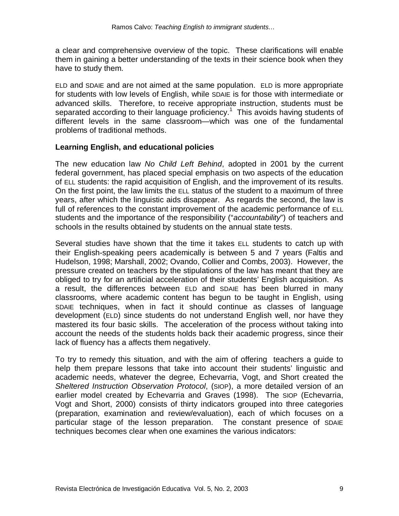a clear and comprehensive overview of the topic. These clarifications will enable them in gaining a better understanding of the texts in their science book when they have to study them.

ELD and SDAIE and are not aimed at the same population. ELD is more appropriate for students with low levels of English, while SDAIE is for those with intermediate or advanced skills. Therefore, to receive appropriate instruction, students must be separated according to their language proficiency.<sup>1</sup> This avoids having students of different levels in the same classroom—which was one of the fundamental problems of traditional methods.

#### **Learning English, and educational policies**

The new education law *No Child Left Behind*, adopted in 2001 by the current federal government, has placed special emphasis on two aspects of the education of ELL students: the rapid acquisition of English, and the improvement of its results. On the first point, the law limits the ELL status of the student to a maximum of three years, after which the linguistic aids disappear. As regards the second, the law is full of references to the constant improvement of the academic performance of ELL students and the importance of the responsibility ("*accountability*") of teachers and schools in the results obtained by students on the annual state tests.

Several studies have shown that the time it takes ELL students to catch up with their English-speaking peers academically is between 5 and 7 years (Faltis and Hudelson, 1998; Marshall, 2002; Ovando, Collier and Combs, 2003). However, the pressure created on teachers by the stipulations of the law has meant that they are obliged to try for an artificial acceleration of their students' English acquisition. As a result, the differences between ELD and SDAIE has been blurred in many classrooms, where academic content has begun to be taught in English, using SDAIE techniques, when in fact it should continue as classes of language development (ELD) since students do not understand English well, nor have they mastered its four basic skills. The acceleration of the process without taking into account the needs of the students holds back their academic progress, since their lack of fluency has a affects them negatively.

To try to remedy this situation, and with the aim of offering teachers a guide to help them prepare lessons that take into account their students' linguistic and academic needs, whatever the degree, Echevarria, Vogt, and Short created the *Sheltered Instruction Observation Protocol*, (SIOP), a more detailed version of an earlier model created by Echevarria and Graves (1998). The SIOP (Echevarria, Vogt and Short, 2000) consists of thirty indicators grouped into three categories (preparation, examination and review/evaluation), each of which focuses on a particular stage of the lesson preparation. The constant presence of SDAIE techniques becomes clear when one examines the various indicators: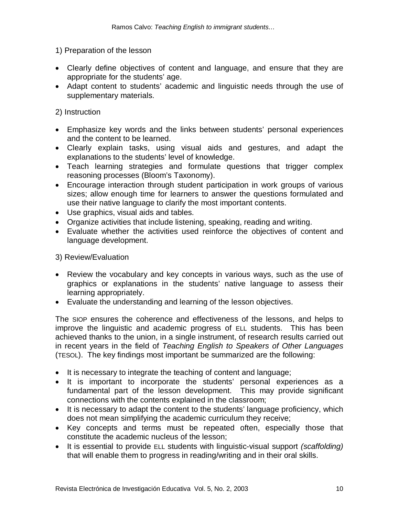#### 1) Preparation of the lesson

- Clearly define objectives of content and language, and ensure that they are appropriate for the students' age.
- Adapt content to students' academic and linguistic needs through the use of supplementary materials.

#### 2) Instruction

- Emphasize key words and the links between students' personal experiences and the content to be learned.
- Clearly explain tasks, using visual aids and gestures, and adapt the explanations to the students' level of knowledge.
- Teach learning strategies and formulate questions that trigger complex reasoning processes (Bloom's Taxonomy).
- Encourage interaction through student participation in work groups of various sizes; allow enough time for learners to answer the questions formulated and use their native language to clarify the most important contents.
- Use graphics, visual aids and tables.
- Organize activities that include listening, speaking, reading and writing.
- Evaluate whether the activities used reinforce the objectives of content and language development.

#### 3) Review/Evaluation

- Review the vocabulary and key concepts in various ways, such as the use of graphics or explanations in the students' native language to assess their learning appropriately.
- Evaluate the understanding and learning of the lesson objectives.

The SIOP ensures the coherence and effectiveness of the lessons, and helps to improve the linguistic and academic progress of ELL students. This has been achieved thanks to the union, in a single instrument, of research results carried out in recent years in the field of *Teaching English to Speakers of Other Languages* (TESOL). The key findings most important be summarized are the following:

- It is necessary to integrate the teaching of content and language;
- It is important to incorporate the students' personal experiences as a fundamental part of the lesson development. This may provide significant connections with the contents explained in the classroom;
- It is necessary to adapt the content to the students' language proficiency, which does not mean simplifying the academic curriculum they receive;
- Key concepts and terms must be repeated often, especially those that constitute the academic nucleus of the lesson;
- It is essential to provide ELL students with linguistic-visual support *(scaffolding)*  that will enable them to progress in reading/writing and in their oral skills.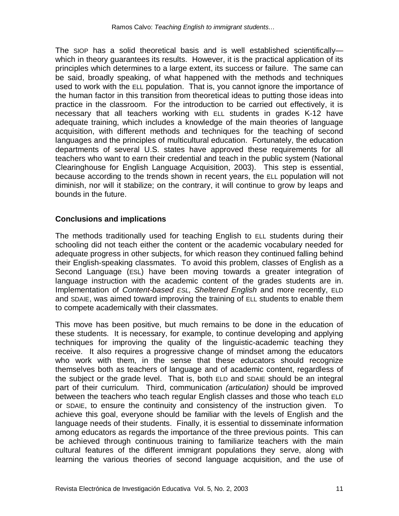The SIOP has a solid theoretical basis and is well established scientifically which in theory quarantees its results. However, it is the practical application of its principles which determines to a large extent, its success or failure. The same can be said, broadly speaking, of what happened with the methods and techniques used to work with the ELL population. That is, you cannot ignore the importance of the human factor in this transition from theoretical ideas to putting those ideas into practice in the classroom. For the introduction to be carried out effectively, it is necessary that all teachers working with ELL students in grades K-12 have adequate training, which includes a knowledge of the main theories of language acquisition, with different methods and techniques for the teaching of second languages and the principles of multicultural education. Fortunately, the education departments of several U.S. states have approved these requirements for all teachers who want to earn their credential and teach in the public system (National Clearinghouse for English Language Acquisition, 2003). This step is essential, because according to the trends shown in recent years, the ELL population will not diminish, nor will it stabilize; on the contrary, it will continue to grow by leaps and bounds in the future.

#### **Conclusions and implications**

The methods traditionally used for teaching English to ELL students during their schooling did not teach either the content or the academic vocabulary needed for adequate progress in other subjects, for which reason they continued falling behind their English-speaking classmates. To avoid this problem, classes of English as a Second Language (ESL) have been moving towards a greater integration of language instruction with the academic content of the grades students are in. Implementation of *Content-based ESL, Sheltered English* and more recently, ELD and SDAIE, was aimed toward improving the training of ELL students to enable them to compete academically with their classmates.

This move has been positive, but much remains to be done in the education of these students. It is necessary, for example, to continue developing and applying techniques for improving the quality of the linguistic-academic teaching they receive. It also requires a progressive change of mindset among the educators who work with them, in the sense that these educators should recognize themselves both as teachers of language and of academic content, regardless of the subject or the grade level. That is, both ELD and SDAIE should be an integral part of their curriculum. Third, communication *(articulation)* should be improved between the teachers who teach regular English classes and those who teach ELD or SDAIE, to ensure the continuity and consistency of the instruction given. To achieve this goal, everyone should be familiar with the levels of English and the language needs of their students. Finally, it is essential to disseminate information among educators as regards the importance of the three previous points. This can be achieved through continuous training to familiarize teachers with the main cultural features of the different immigrant populations they serve, along with learning the various theories of second language acquisition, and the use of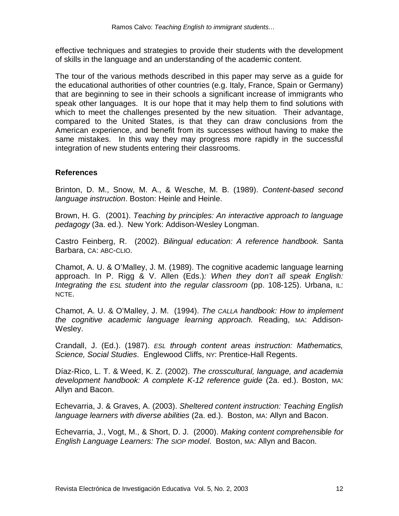effective techniques and strategies to provide their students with the development of skills in the language and an understanding of the academic content.

The tour of the various methods described in this paper may serve as a guide for the educational authorities of other countries (e.g. Italy, France, Spain or Germany) that are beginning to see in their schools a significant increase of immigrants who speak other languages. It is our hope that it may help them to find solutions with which to meet the challenges presented by the new situation. Their advantage, compared to the United States, is that they can draw conclusions from the American experience, and benefit from its successes without having to make the same mistakes. In this way they may progress more rapidly in the successful integration of new students entering their classrooms.

#### **References**

Brinton, D. M., Snow, M. A., & Wesche, M. B. (1989). *Content-based second language instruction*. Boston: Heinle and Heinle.

Brown, H. G. (2001). *Teaching by principles: An interactive approach to language pedagogy* (3a. ed.). New York: Addison-Wesley Longman.

Castro Feinberg, R. (2002). *Bilingual education: A reference handbook.* Santa Barbara, CA: ABC-CLIO.

Chamot, A. U. & O'Malley, J. M. (1989). The cognitive academic language learning approach. In P. Rigg & V. Allen (Eds.)*: When they don't all speak English: Integrating the ESL student into the regular classroom (pp. 108-125). Urbana, IL:* NCTE.

Chamot, A. U. & O'Malley, J. M. (1994). *The CALLA handbook: How to implement the cognitive academic language learning approach.* Reading, MA: Addison-Wesley.

Crandall, J. (Ed.). (1987). *ESL through content areas instruction: Mathematics, Science, Social Studies*. Englewood Cliffs, NY: Prentice-Hall Regents.

Díaz-Rico, L. T. & Weed, K. Z. (2002). *The crosscultural, language, and academia development handbook: A complete K-12 reference guide* (2a. ed.). Boston, MA: Allyn and Bacon.

Echevarria, J. & Graves, A. (2003). *Sheltered content instruction: Teaching English language learners with diverse abilities* (2a. ed.). Boston, MA: Allyn and Bacon.

Echevarria, J., Vogt, M., & Short, D. J. (2000). *Making content comprehensible for English Language Learners: The SIOP model*. Boston, MA: Allyn and Bacon.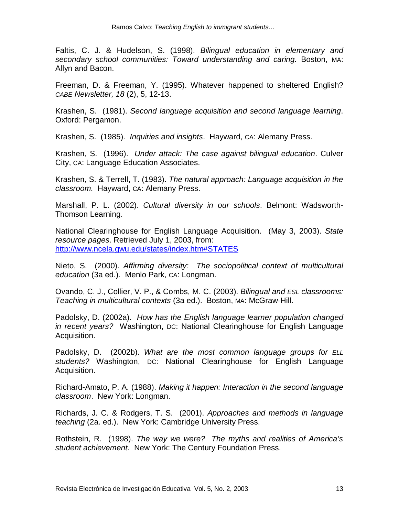Faltis, C. J. & Hudelson, S. (1998). *Bilingual education in elementary and secondary school communities: Toward understanding and caring.* Boston, MA: Allyn and Bacon.

Freeman, D. & Freeman, Y. (1995). Whatever happened to sheltered English? *CABE Newsletter, 18* (2), 5, 12-13.

Krashen, S. (1981). *Second language acquisition and second language learning*. Oxford: Pergamon.

Krashen, S. (1985). *Inquiries and insights*. Hayward, CA: Alemany Press.

Krashen, S. (1996). *Under attack: The case against bilingual education*. Culver City, CA: Language Education Associates.

Krashen, S. & Terrell, T. (1983). *The natural approach: Language acquisition in the classroom.* Hayward, CA: Alemany Press.

Marshall, P. L. (2002). *Cultural diversity in our schools*. Belmont: Wadsworth-Thomson Learning.

National Clearinghouse for English Language Acquisition. (May 3, 2003). *State resource pages*. Retrieved July 1, 2003, from: http://www.ncela.gwu.edu/states/index.htm#STATES

Nieto, S. (2000). *Affirming diversity: The sociopolitical context of multicultural education* (3a ed.). Menlo Park, CA: Longman.

Ovando, C. J., Collier, V. P., & Combs, M. C. (2003). *Bilingual and ESL classrooms: Teaching in multicultural contexts* (3a ed.). Boston, MA: McGraw-Hill.

Padolsky, D. (2002a). *How has the English language learner population changed in recent years?* Washington, DC: National Clearinghouse for English Language Acquisition.

Padolsky, D. (2002b). *What are the most common language groups for ELL students?* Washington, DC: National Clearinghouse for English Language Acquisition.

Richard-Amato, P. A. (1988). *Making it happen: Interaction in the second language classroom*. New York: Longman.

Richards, J. C. & Rodgers, T. S. (2001). *Approaches and methods in language teaching* (2a. ed.). New York: Cambridge University Press.

Rothstein, R. (1998). *The way we were? The myths and realities of America's student achievement.* New York: The Century Foundation Press.